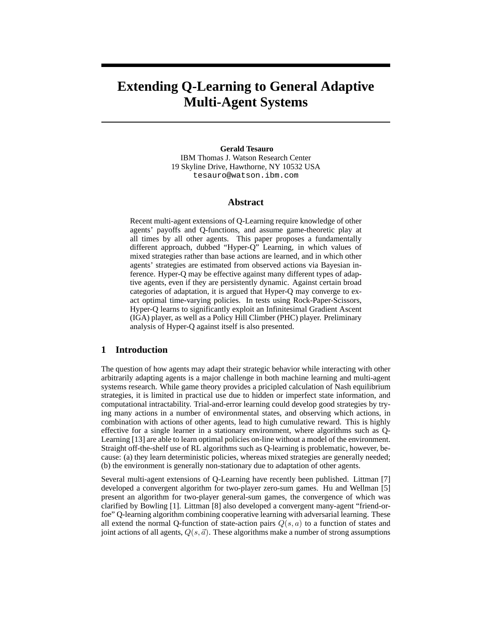# **Extending Q-Learning to General Adaptive Multi-Agent Systems**

**Gerald Tesauro** IBM Thomas J. Watson Research Center 19 Skyline Drive, Hawthorne, NY 10532 USA tesauro@watson.ibm.com

## **Abstract**

Recent multi-agent extensions of Q-Learning require knowledge of other agents' payoffs and Q-functions, and assume game-theoretic play at all times by all other agents. This paper proposes a fundamentally different approach, dubbed "Hyper-Q" Learning, in which values of mixed strategies rather than base actions are learned, and in which other agents' strategies are estimated from observed actions via Bayesian inference. Hyper-Q may be effective against many different types of adaptive agents, even if they are persistently dynamic. Against certain broad categories of adaptation, it is argued that Hyper-Q may converge to exact optimal time-varying policies. In tests using Rock-Paper-Scissors, Hyper-Q learns to significantly exploit an Infinitesimal Gradient Ascent (IGA) player, as well as a Policy Hill Climber (PHC) player. Preliminary analysis of Hyper-Q against itself is also presented.

## **1 Introduction**

The question of how agents may adapt their strategic behavior while interacting with other arbitrarily adapting agents is a major challenge in both machine learning and multi-agent systems research. While game theory provides a pricipled calculation of Nash equilibrium strategies, it is limited in practical use due to hidden or imperfect state information, and computational intractability. Trial-and-error learning could develop good strategies by trying many actions in a number of environmental states, and observing which actions, in combination with actions of other agents, lead to high cumulative reward. This is highly effective for a single learner in a stationary environment, where algorithms such as Q-Learning [13] are able to learn optimal policies on-line without a model of the environment. Straight off-the-shelf use of RL algorithms such as Q-learning is problematic, however, because: (a) they learn deterministic policies, whereas mixed strategies are generally needed; (b) the environment is generally non-stationary due to adaptation of other agents.

Several multi-agent extensions of Q-Learning have recently been published. Littman [7] developed a convergent algorithm for two-player zero-sum games. Hu and Wellman [5] present an algorithm for two-player general-sum games, the convergence of which was clarified by Bowling [1]. Littman [8] also developed a convergent many-agent "friend-orfoe" Q-learning algorithm combining cooperative learning with adversarial learning. These all extend the normal O-function of state-action pairs  $Q(s, a)$  to a function of states and joint actions of all agents,  $Q(s, \vec{a})$ . These algorithms make a number of strong assumptions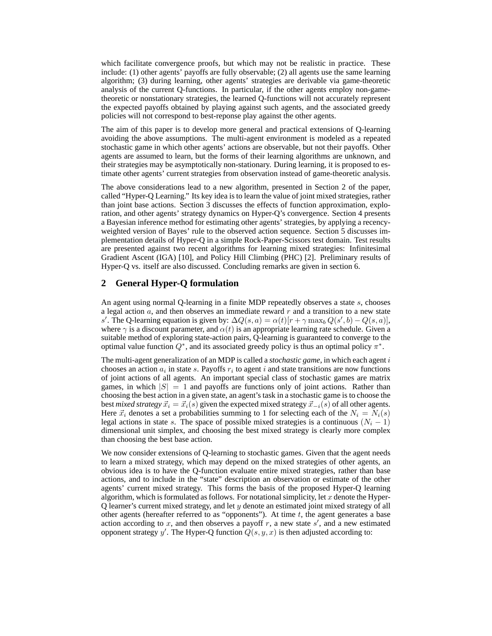which facilitate convergence proofs, but which may not be realistic in practice. These include: (1) other agents' payoffs are fully observable; (2) all agents use the same learning algorithm; (3) during learning, other agents' strategies are derivable via game-theoretic analysis of the current Q-functions. In particular, if the other agents employ non-gametheoretic or nonstationary strategies, the learned Q-functions will not accurately represent the expected payoffs obtained by playing against such agents, and the associated greedy policies will not correspond to best-reponse play against the other agents.

The aim of this paper is to develop more general and practical extensions of Q-learning avoiding the above assumptions. The multi-agent environment is modeled as a repeated stochastic game in which other agents' actions are observable, but not their payoffs. Other agents are assumed to learn, but the forms of their learning algorithms are unknown, and their strategies may be asymptotically non-stationary. During learning, it is proposed to estimate other agents' current strategies from observation instead of game-theoretic analysis.

The above considerations lead to a new algorithm, presented in Section 2 of the paper, called "Hyper-Q Learning." Its key idea is to learn the value of joint mixed strategies, rather than joint base actions. Section 3 discusses the effects of function approximation, exploration, and other agents' strategy dynamics on Hyper-Q's convergence. Section 4 presents a Bayesian inference method for estimating other agents' strategies, by applying a recencyweighted version of Bayes' rule to the observed action sequence. Section 5 discusses implementation details of Hyper-Q in a simple Rock-Paper-Scissors test domain. Test results are presented against two recent algorithms for learning mixed strategies: Infinitesimal Gradient Ascent (IGA) [10], and Policy Hill Climbing (PHC) [2]. Preliminary results of Hyper-Q vs. itself are also discussed. Concluding remarks are given in section 6.

# **2 General Hyper-Q formulation**

An agent using normal Q-learning in a finite MDP repeatedly observes a state s, chooses a legal action  $a$ , and then observes an immediate reward  $r$  and a transition to a new state s'. The Q-learning equation is given by:  $\Delta Q(s, a) = \alpha(t)[r + \gamma \max_b Q(s', b) - Q(s, a)]$ ,<br>where  $\gamma$  is a discount parameter and  $\alpha(t)$  is an appropriate learning rate schedule. Given a where  $\gamma$  is a discount parameter, and  $\alpha(t)$  is an appropriate learning rate schedule. Given a suitable method of exploring state-action pairs, Q-learning is guaranteed to converge to the optimal value function  $Q^*$ , and its associated greedy policy is thus an optimal policy  $\pi^*$ .

The multi-agent generalization of an MDP is called a *stochastic game*, in which each agent i chooses an action  $a_i$  in state s. Payoffs  $r_i$  to agent i and state transitions are now functions of joint actions of all agents. An important special class of stochastic games are matrix games, in which  $|S| = 1$  and payoffs are functions only of joint actions. Rather than choosing the best action in a given state, an agent's task in a stochastic game is to choose the best *mixed strategy*  $\vec{x}_i = \vec{x}_i(s)$  given the expected mixed strategy  $\vec{x}_{-i}(s)$  of all other agents. Here  $\vec{x}_i$  denotes a set a probabilities summing to 1 for selecting each of the  $N_i = N_i(s)$ legal actions in state s. The space of possible mixed strategies is a continuous ( $N_i - 1$ ) dimensional unit simplex, and choosing the best mixed strategy is clearly more complex than choosing the best base action.

We now consider extensions of Q-learning to stochastic games. Given that the agent needs to learn a mixed strategy, which may depend on the mixed strategies of other agents, an obvious idea is to have the Q-function evaluate entire mixed strategies, rather than base actions, and to include in the "state" description an observation or estimate of the other agents' current mixed strategy. This forms the basis of the proposed Hyper-Q learning algorithm, which is formulated as follows. For notational simplicity, let  $x$  denote the Hyper-Q learner's current mixed strategy, and let y denote an estimated joint mixed strategy of all other agents (hereafter referred to as "opponents"). At time  $t$ , the agent generates a base action according to x, and then observes a payoff r, a new state  $s'$ , and a new estimated opponent strategy  $y'$ . The Hyper-Q function  $Q(s, y, x)$  is then adjusted according to: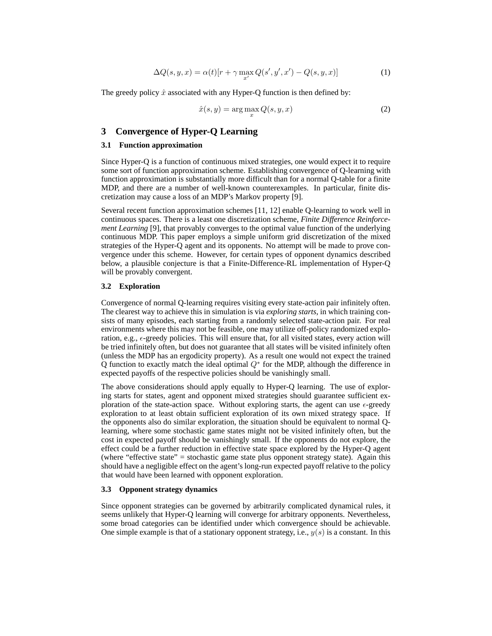$$
\Delta Q(s, y, x) = \alpha(t)[r + \gamma \max_{x'} Q(s', y', x') - Q(s, y, x)] \tag{1}
$$

The greedy policy  $\hat{x}$  associated with any Hyper-Q function is then defined by:

$$
\hat{x}(s, y) = \arg\max_{x} Q(s, y, x) \tag{2}
$$

# **3 Convergence of Hyper-Q Learning**

#### **3.1 Function approximation**

Since Hyper-Q is a function of continuous mixed strategies, one would expect it to require some sort of function approximation scheme. Establishing convergence of Q-learning with function approximation is substantially more difficult than for a normal Q-table for a finite MDP, and there are a number of well-known counterexamples. In particular, finite discretization may cause a loss of an MDP's Markov property [9].

Several recent function approximation schemes [11, 12] enable Q-learning to work well in continuous spaces. There is a least one discretization scheme, *Finite Difference Reinforcement Learning* [9], that provably converges to the optimal value function of the underlying continuous MDP. This paper employs a simple uniform grid discretization of the mixed strategies of the Hyper-Q agent and its opponents. No attempt will be made to prove convergence under this scheme. However, for certain types of opponent dynamics described below, a plausible conjecture is that a Finite-Difference-RL implementation of Hyper-Q will be provably convergent.

## **3.2 Exploration**

Convergence of normal Q-learning requires visiting every state-action pair infinitely often. The clearest way to achieve this in simulation is via *exploring starts*, in which training consists of many episodes, each starting from a randomly selected state-action pair. For real environments where this may not be feasible, one may utilize off-policy randomized exploration, e.g.,  $\epsilon$ -greedy policies. This will ensure that, for all visited states, every action will be tried infinitely often, but does not guarantee that all states will be visited infinitely often (unless the MDP has an ergodicity property). As a result one would not expect the trained Q function to exactly match the ideal optimal  $Q^*$  for the MDP, although the difference in expected payoffs of the respective policies should be vanishingly small.

The above considerations should apply equally to Hyper-Q learning. The use of exploring starts for states, agent and opponent mixed strategies should guarantee sufficient exploration of the state-action space. Without exploring starts, the agent can use  $\epsilon$ -greedy exploration to at least obtain sufficient exploration of its own mixed strategy space. If the opponents also do similar exploration, the situation should be equivalent to normal Qlearning, where some stochastic game states might not be visited infinitely often, but the cost in expected payoff should be vanishingly small. If the opponents do not explore, the effect could be a further reduction in effective state space explored by the Hyper-Q agent (where "effective state" = stochastic game state plus opponent strategy state). Again this should have a negligible effect on the agent's long-run expected payoff relative to the policy that would have been learned with opponent exploration.

## **3.3 Opponent strategy dynamics**

Since opponent strategies can be governed by arbitrarily complicated dynamical rules, it seems unlikely that Hyper-Q learning will converge for arbitrary opponents. Nevertheless, some broad categories can be identified under which convergence should be achievable. One simple example is that of a stationary opponent strategy, i.e.,  $y(s)$  is a constant. In this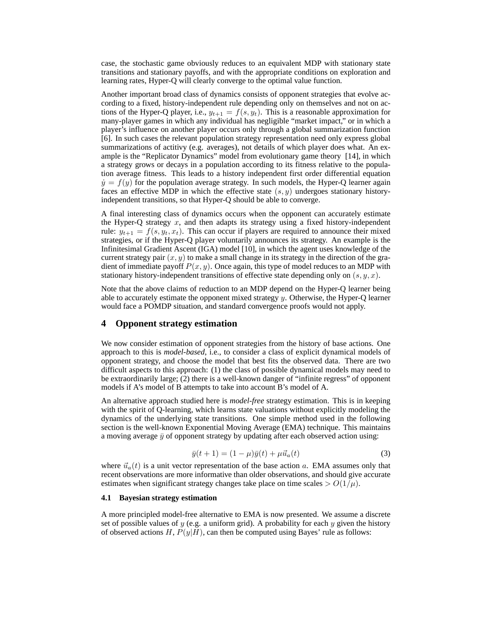case, the stochastic game obviously reduces to an equivalent MDP with stationary state transitions and stationary payoffs, and with the appropriate conditions on exploration and learning rates, Hyper-Q will clearly converge to the optimal value function.

Another important broad class of dynamics consists of opponent strategies that evolve according to a fixed, history-independent rule depending only on themselves and not on actions of the Hyper-Q player, i.e.,  $y_{t+1} = f(s, y_t)$ . This is a reasonable approximation for many-player games in which any individual has negligible "market impact," or in which a player's influence on another player occurs only through a global summarization function [6]. In such cases the relevant population strategy representation need only express global summarizations of actitivy (e.g. averages), not details of which player does what. An example is the "Replicator Dynamics" model from evolutionary game theory [14], in which a strategy grows or decays in a population according to its fitness relative to the population average fitness. This leads to a history independent first order differential equation  $\dot{y} = f(y)$  for the population average strategy. In such models, the Hyper-Q learner again faces an effective MDP in which the effective state  $(s, y)$  undergoes stationary historyindependent transitions, so that Hyper-Q should be able to converge.

A final interesting class of dynamics occurs when the opponent can accurately estimate the Hyper-Q strategy  $x$ , and then adapts its strategy using a fixed history-independent rule:  $y_{t+1} = f(s, y_t, x_t)$ . This can occur if players are required to announce their mixed strategies, or if the Hyper-Q player voluntarily announces its strategy. An example is the Infinitesimal Gradient Ascent (IGA) model [10], in which the agent uses knowledge of the current strategy pair  $(x, y)$  to make a small change in its strategy in the direction of the gradient of immediate payoff  $P(x, y)$ . Once again, this type of model reduces to an MDP with stationary history-independent transitions of effective state depending only on  $(s, y, x)$ .

Note that the above claims of reduction to an MDP depend on the Hyper-Q learner being able to accurately estimate the opponent mixed strategy  $y$ . Otherwise, the Hyper-Q learner would face a POMDP situation, and standard convergence proofs would not apply.

## **4 Opponent strategy estimation**

We now consider estimation of opponent strategies from the history of base actions. One approach to this is *model-based*, i.e., to consider a class of explicit dynamical models of opponent strategy, and choose the model that best fits the observed data. There are two difficult aspects to this approach: (1) the class of possible dynamical models may need to be extraordinarily large; (2) there is a well-known danger of "infinite regress" of opponent models if A's model of B attempts to take into account B's model of A.

An alternative approach studied here is *model-free* strategy estimation. This is in keeping with the spirit of Q-learning, which learns state valuations without explicitly modeling the dynamics of the underlying state transitions. One simple method used in the following section is the well-known Exponential Moving Average (EMA) technique. This maintains a moving average  $\bar{y}$  of opponent strategy by updating after each observed action using:

$$
\bar{y}(t+1) = (1 - \mu)\bar{y}(t) + \mu \vec{u}_a(t)
$$
\n(3)

where  $\vec{u}_a(t)$  is a unit vector representation of the base action a. EMA assumes only that recent observations are more informative than older observations, and should give accurate estimates when significant strategy changes take place on time scales  $> O(1/\mu)$ .

## **4.1 Bayesian strategy estimation**

A more principled model-free alternative to EMA is now presented. We assume a discrete set of possible values of y (e.g. a uniform grid). A probability for each y given the history of observed actions  $H$ ,  $P(y|H)$ , can then be computed using Bayes' rule as follows: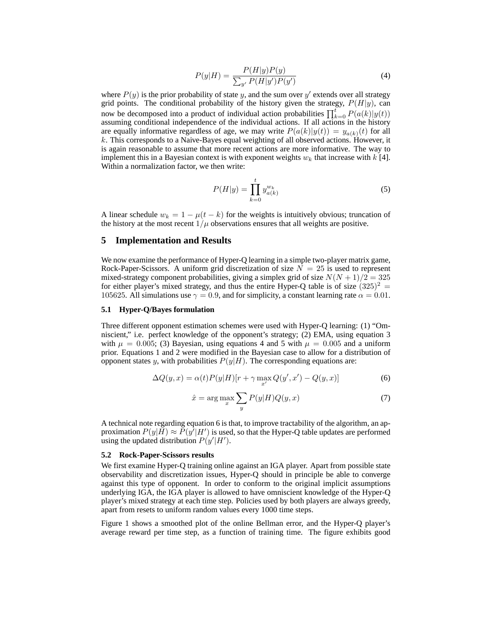$$
P(y|H) = \frac{P(H|y)P(y)}{\sum_{y'} P(H|y')P(y')}
$$
\n(4)

where  $P(y)$  is the prior probability of state y, and the sum over y' extends over all strategy grid points. The conditional probability of the history given the strategy,  $P(H|y)$ , can now be decomposed into a product of individual action probabilities  $\prod_{k=0}^{t} P(a(k)|y(t))$  assuming conditional independence of the individual actions. If all actions in the history assuming conditional independence of the individual actions. If all actions in the history are equally informative regardless of age, we may write  $P(a(k)|y(t)) = y_{a(k)}(t)$  for all  $k$ . This corresponds to a Naive-Bayes equal weighting of all observed actions. However, it is again reasonable to assume that more recent actions are more informative. The way to implement this in a Bayesian context is with exponent weights  $w_k$  that increase with  $k$  [4]. Within a normalization factor, we then write:

$$
P(H|y) = \prod_{k=0}^{t} y_{a(k)}^{w_k}
$$
 (5)

A linear schedule  $w_k = 1 - \mu(t - k)$  for the weights is intuitively obvious; truncation of the history at the most recent  $1/\mu$  observations ensures that all weights are positive.

## **5 Implementation and Results**

We now examine the performance of Hyper-Q learning in a simple two-player matrix game, Rock-Paper-Scissors. A uniform grid discretization of size  $N = 25$  is used to represent mixed-strategy component probabilities, giving a simplex grid of size  $N(N + 1)/2 = 325$ for either player's mixed strategy, and thus the entire Hyper-Q table is of size  $(325)^2$  = 105625. All simulations use  $\gamma = 0.9$ , and for simplicity, a constant learning rate  $\alpha = 0.01$ .

## **5.1 Hyper-Q/Bayes formulation**

Three different opponent estimation schemes were used with Hyper-Q learning: (1) "Omniscient," i.e. perfect knowledge of the opponent's strategy; (2) EMA, using equation 3 with  $\mu = 0.005$ ; (3) Bayesian, using equations 4 and 5 with  $\mu = 0.005$  and a uniform prior. Equations 1 and 2 were modified in the Bayesian case to allow for a distribution of opponent states y, with probabilities  $P(y|H)$ . The corresponding equations are:

$$
\Delta Q(y,x) = \alpha(t)P(y|H)[r + \gamma \max_{x'} Q(y',x') - Q(y,x)] \tag{6}
$$

$$
\hat{x} = \arg\max_{x} \sum_{y} P(y|H)Q(y,x)
$$
\n(7)

A technical note regarding equation 6 is that, to improve tractability of the algorithm, an approximation  $P(y|H) \approx P(y'|H')$  is used, so that the Hyper-Q table updates are performed<br>using the updated distribution  $P(y'|H')$ using the updated distribution  $P(y'|H')$ .

## **5.2 Rock-Paper-Scissors results**

We first examine Hyper-Q training online against an IGA player. Apart from possible state observability and discretization issues, Hyper-Q should in principle be able to converge against this type of opponent. In order to conform to the original implicit assumptions underlying IGA, the IGA player is allowed to have omniscient knowledge of the Hyper-Q player's mixed strategy at each time step. Policies used by both players are always greedy, apart from resets to uniform random values every 1000 time steps.

Figure 1 shows a smoothed plot of the online Bellman error, and the Hyper-Q player's average reward per time step, as a function of training time. The figure exhibits good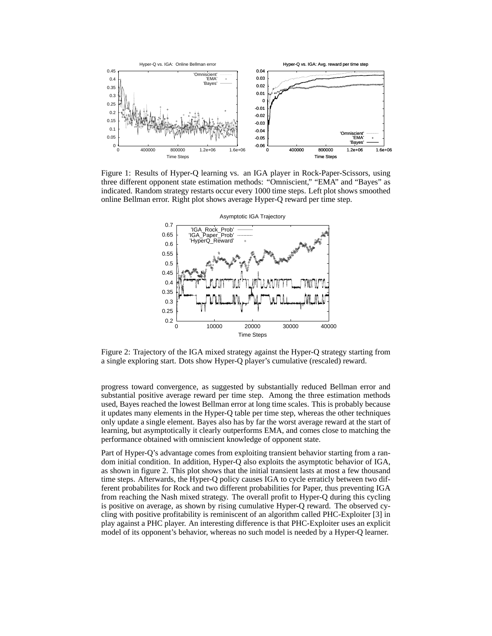

Figure 1: Results of Hyper-Q learning vs. an IGA player in Rock-Paper-Scissors, using three different opponent state estimation methods: "Omniscient," "EMA" and "Bayes" as indicated. Random strategy restarts occur every 1000 time steps. Left plot shows smoothed online Bellman error. Right plot shows average Hyper-Q reward per time step.



Figure 2: Trajectory of the IGA mixed strategy against the Hyper-Q strategy starting from a single exploring start. Dots show Hyper-Q player's cumulative (rescaled) reward.

progress toward convergence, as suggested by substantially reduced Bellman error and substantial positive average reward per time step. Among the three estimation methods used, Bayes reached the lowest Bellman error at long time scales. This is probably because it updates many elements in the Hyper-Q table per time step, whereas the other techniques only update a single element. Bayes also has by far the worst average reward at the start of learning, but asymptotically it clearly outperforms EMA, and comes close to matching the performance obtained with omniscient knowledge of opponent state.

Part of Hyper-Q's advantage comes from exploiting transient behavior starting from a random initial condition. In addition, Hyper-Q also exploits the asymptotic behavior of IGA, as shown in figure 2. This plot shows that the initial transient lasts at most a few thousand time steps. Afterwards, the Hyper-Q policy causes IGA to cycle erraticly between two different probabilites for Rock and two different probabilities for Paper, thus preventing IGA from reaching the Nash mixed strategy. The overall profit to Hyper-Q during this cycling is positive on average, as shown by rising cumulative Hyper-Q reward. The observed cycling with positive profitability is reminiscent of an algorithm called PHC-Exploiter [3] in play against a PHC player. An interesting difference is that PHC-Exploiter uses an explicit model of its opponent's behavior, whereas no such model is needed by a Hyper-Q learner.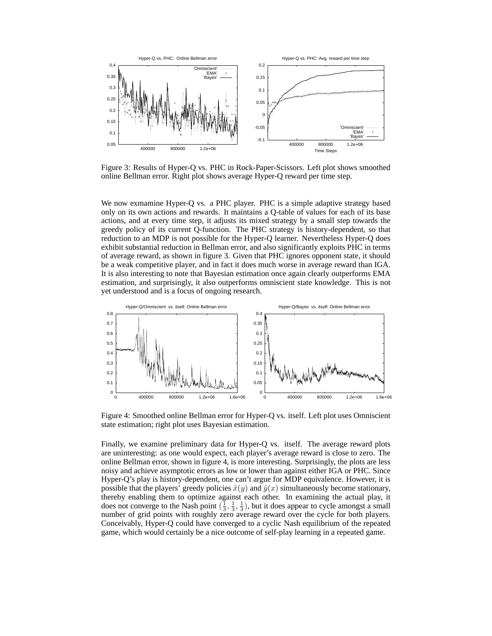

Figure 3: Results of Hyper-Q vs. PHC in Rock-Paper-Scissors. Left plot shows smoothed online Bellman error. Right plot shows average Hyper-Q reward per time step.

We now exmamine Hyper-Q vs. a PHC player. PHC is a simple adaptive strategy based only on its own actions and rewards. It maintains a Q-table of values for each of its base actions, and at every time step, it adjusts its mixed strategy by a small step towards the greedy policy of its current Q-function. The PHC strategy is history-dependent, so that reduction to an MDP is not possible for the Hyper-Q learner. Nevertheless Hyper-Q does exhibit substantial reduction in Bellman error, and also significantly exploits PHC in terms of average reward, as shown in figure 3. Given that PHC ignores opponent state, it should be a weak competitive player, and in fact it does much worse in average reward than IGA. It is also interesting to note that Bayesian estimation once again clearly outperforms EMA estimation, and surprisingly, it also outperforms omniscient state knowledge. This is not yet understood and is a focus of ongoing research.



Figure 4: Smoothed online Bellman error for Hyper-Q vs. itself. Left plot uses Omniscient state estimation; right plot uses Bayesian estimation.

Finally, we examine preliminary data for Hyper-Q vs. itself. The average reward plots are uninteresting: as one would expect, each player's average reward is close to zero. The online Bellman error, shown in figure 4, is more interesting. Surprisingly, the plots are less noisy and achieve asymptotic errors as low or lower than against either IGA or PHC. Since Hyper-Q's play is history-dependent, one can't argue for MDP equivalence. However, it is possible that the players' greedy policies  $\hat{x}(y)$  and  $\hat{y}(x)$  simultaneously become stationary, thereby enabling them to optimize against each other. In examining the actual play, it does not converge to the Nash point  $(\frac{1}{3}, \frac{1}{3}, \frac{1}{3})$ , but it does appear to cycle amongst a small<br>number of grid points with roughly zero average reward over the cycle for both players number of grid points with roughly zero average reward over the cycle for both players. Conceivably, Hyper-Q could have converged to a cyclic Nash equilibrium of the repeated game, which would certainly be a nice outcome of self-play learning in a repeated game.